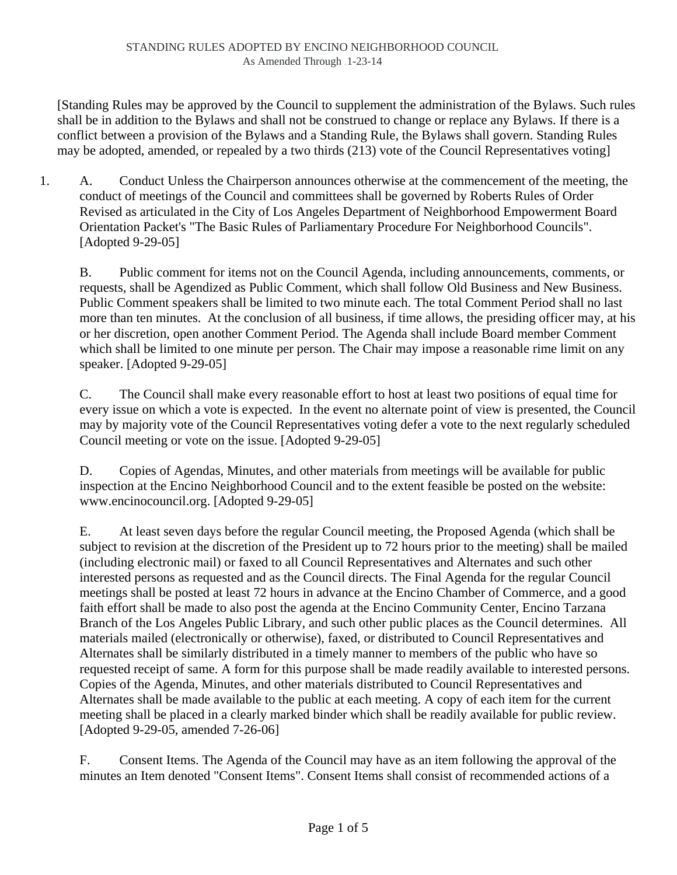[Standing Rules may be approved by the Council to supplement the administration of the Bylaws. Such rules shall be in addition to the Bylaws and shall not be construed to change or replace any Bylaws. If there is a conflict between a provision of the Bylaws and a Standing Rule, the Bylaws shall govern. Standing Rules may be adopted, amended, or repealed by a two thirds (213) vote of the Council Representatives voting]

1. A. Conduct Unless the Chairperson announces otherwise at the commencement of the meeting, the conduct of meetings of the Council and committees shall be governed by Roberts Rules of Order Revised as articulated in the City of Los Angeles Department of Neighborhood Empowerment Board Orientation Packet's "The Basic Rules of Parliamentary Procedure For Neighborhood Councils". [Adopted 9-29-05]

B. Public comment for items not on the Council Agenda, including announcements, comments, or requests, shall be Agendized as Public Comment, which shall follow Old Business and New Business. Public Comment speakers shall be limited to two minute each. The total Comment Period shall no last more than ten minutes. At the conclusion of all business, if time allows, the presiding officer may, at his or her discretion, open another Comment Period. The Agenda shall include Board member Comment which shall be limited to one minute per person. The Chair may impose a reasonable rime limit on any speaker. [Adopted 9-29-05]

C. The Council shall make every reasonable effort to host at least two positions of equal time for every issue on which a vote is expected. In the event no alternate point of view is presented, the Council may by majority vote of the Council Representatives voting defer a vote to the next regularly scheduled Council meeting or vote on the issue. [Adopted 9-29-05]

D. Copies of Agendas, Minutes, and other materials from meetings will be available for public inspection at the Encino Neighborhood Council and to the extent feasible be posted on the website: www.encinocouncil.org. [Adopted 9-29-05]

E. At least seven days before the regular Council meeting, the Proposed Agenda (which shall be subject to revision at the discretion of the President up to 72 hours prior to the meeting) shall be mailed (including electronic mail) or faxed to all Council Representatives and Alternates and such other interested persons as requested and as the Council directs. The Final Agenda for the regular Council meetings shall be posted at least 72 hours in advance at the Encino Chamber of Commerce, and a good faith effort shall be made to also post the agenda at the Encino Community Center, Encino Tarzana Branch of the Los Angeles Public Library, and such other public places as the Council determines. All materials mailed (electronically or otherwise), faxed, or distributed to Council Representatives and Alternates shall be similarly distributed in a timely manner to members of the public who have so requested receipt of same. A form for this purpose shall be made readily available to interested persons. Copies of the Agenda, Minutes, and other materials distributed to Council Representatives and Alternates shall be made available to the public at each meeting. A copy of each item for the current meeting shall be placed in a clearly marked binder which shall be readily available for public review. [Adopted 9-29-05, amended 7-26-06]

F. Consent Items. The Agenda of the Council may have as an item following the approval of the minutes an Item denoted "Consent Items". Consent Items shall consist of recommended actions of a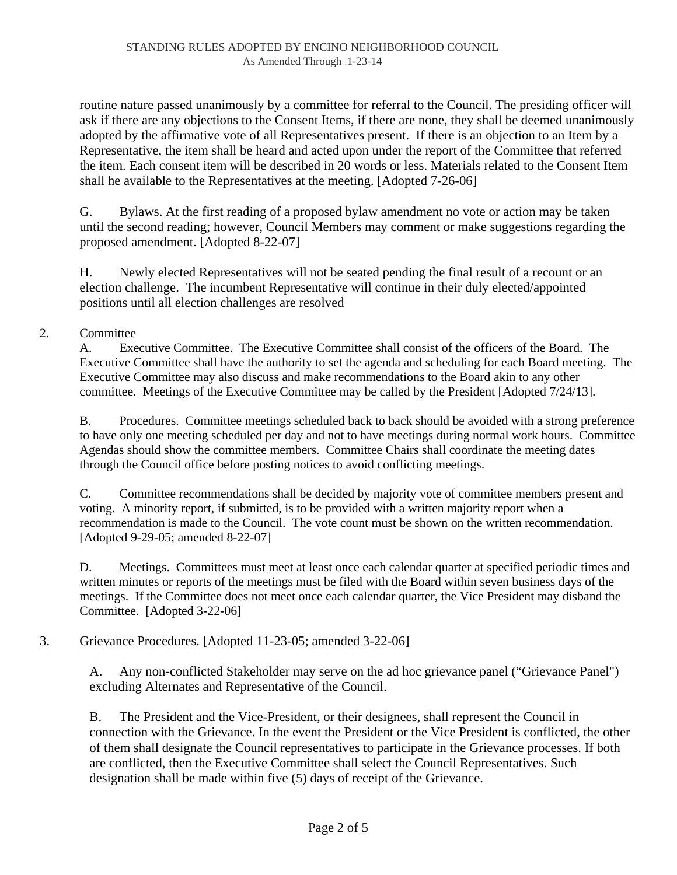routine nature passed unanimously by a committee for referral to the Council. The presiding officer will ask if there are any objections to the Consent Items, if there are none, they shall be deemed unanimously adopted by the affirmative vote of all Representatives present. If there is an objection to an Item by a Representative, the item shall be heard and acted upon under the report of the Committee that referred the item. Each consent item will be described in 20 words or less. Materials related to the Consent Item shall he available to the Representatives at the meeting. [Adopted 7-26-06]

G. Bylaws. At the first reading of a proposed bylaw amendment no vote or action may be taken until the second reading; however, Council Members may comment or make suggestions regarding the proposed amendment. [Adopted 8-22-07]

H. Newly elected Representatives will not be seated pending the final result of a recount or an election challenge. The incumbent Representative will continue in their duly elected/appointed positions until all election challenges are resolved

## 2. Committee

A. Executive Committee. The Executive Committee shall consist of the officers of the Board. The Executive Committee shall have the authority to set the agenda and scheduling for each Board meeting. The Executive Committee may also discuss and make recommendations to the Board akin to any other committee. Meetings of the Executive Committee may be called by the President [Adopted 7/24/13].

B. Procedures. Committee meetings scheduled back to back should be avoided with a strong preference to have only one meeting scheduled per day and not to have meetings during normal work hours. Committee Agendas should show the committee members. Committee Chairs shall coordinate the meeting dates through the Council office before posting notices to avoid conflicting meetings.

C. Committee recommendations shall be decided by majority vote of committee members present and voting. A minority report, if submitted, is to be provided with a written majority report when a recommendation is made to the Council. The vote count must be shown on the written recommendation. [Adopted 9-29-05; amended 8-22-07]

D. Meetings. Committees must meet at least once each calendar quarter at specified periodic times and written minutes or reports of the meetings must be filed with the Board within seven business days of the meetings. If the Committee does not meet once each calendar quarter, the Vice President may disband the Committee. [Adopted 3-22-06]

## 3. Grievance Procedures. [Adopted 11-23-05; amended 3-22-06]

A. Any non-conflicted Stakeholder may serve on the ad hoc grievance panel ("Grievance Panel") excluding Alternates and Representative of the Council.

B. The President and the Vice-President, or their designees, shall represent the Council in connection with the Grievance. In the event the President or the Vice President is conflicted, the other of them shall designate the Council representatives to participate in the Grievance processes. If both are conflicted, then the Executive Committee shall select the Council Representatives. Such designation shall be made within five (5) days of receipt of the Grievance.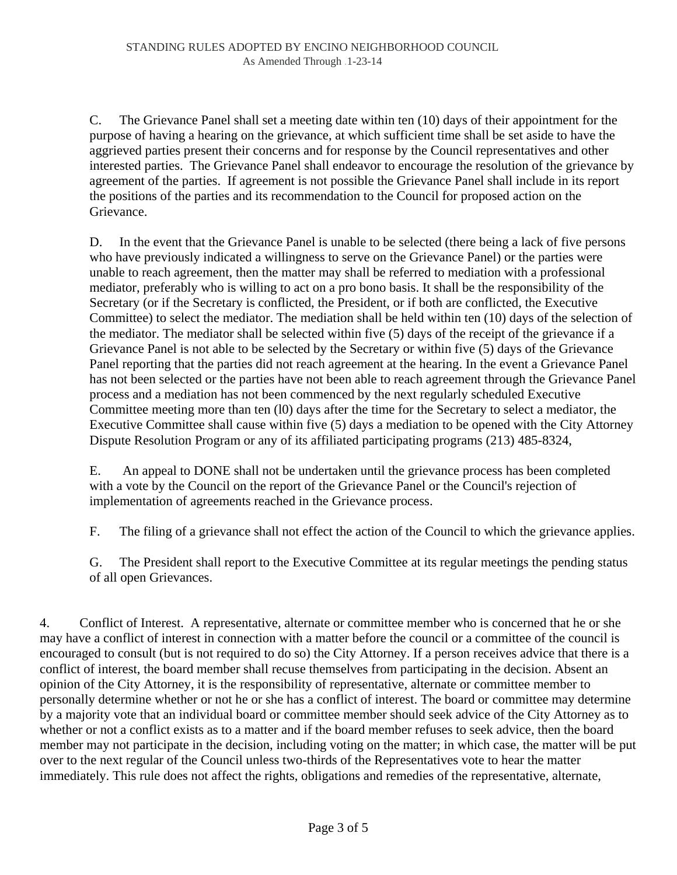C. The Grievance Panel shall set a meeting date within ten (10) days of their appointment for the purpose of having a hearing on the grievance, at which sufficient time shall be set aside to have the aggrieved parties present their concerns and for response by the Council representatives and other interested parties. The Grievance Panel shall endeavor to encourage the resolution of the grievance by agreement of the parties. If agreement is not possible the Grievance Panel shall include in its report the positions of the parties and its recommendation to the Council for proposed action on the Grievance.

D. In the event that the Grievance Panel is unable to be selected (there being a lack of five persons who have previously indicated a willingness to serve on the Grievance Panel) or the parties were unable to reach agreement, then the matter may shall be referred to mediation with a professional mediator, preferably who is willing to act on a pro bono basis. It shall be the responsibility of the Secretary (or if the Secretary is conflicted, the President, or if both are conflicted, the Executive Committee) to select the mediator. The mediation shall be held within ten (10) days of the selection of the mediator. The mediator shall be selected within five (5) days of the receipt of the grievance if a Grievance Panel is not able to be selected by the Secretary or within five (5) days of the Grievance Panel reporting that the parties did not reach agreement at the hearing. In the event a Grievance Panel has not been selected or the parties have not been able to reach agreement through the Grievance Panel process and a mediation has not been commenced by the next regularly scheduled Executive Committee meeting more than ten (l0) days after the time for the Secretary to select a mediator, the Executive Committee shall cause within five (5) days a mediation to be opened with the City Attorney Dispute Resolution Program or any of its affiliated participating programs (213) 485-8324,

E. An appeal to DONE shall not be undertaken until the grievance process has been completed with a vote by the Council on the report of the Grievance Panel or the Council's rejection of implementation of agreements reached in the Grievance process.

F. The filing of a grievance shall not effect the action of the Council to which the grievance applies.

G. The President shall report to the Executive Committee at its regular meetings the pending status of all open Grievances.

4. Conflict of Interest. A representative, alternate or committee member who is concerned that he or she may have a conflict of interest in connection with a matter before the council or a committee of the council is encouraged to consult (but is not required to do so) the City Attorney. If a person receives advice that there is a conflict of interest, the board member shall recuse themselves from participating in the decision. Absent an opinion of the City Attorney, it is the responsibility of representative, alternate or committee member to personally determine whether or not he or she has a conflict of interest. The board or committee may determine by a majority vote that an individual board or committee member should seek advice of the City Attorney as to whether or not a conflict exists as to a matter and if the board member refuses to seek advice, then the board member may not participate in the decision, including voting on the matter; in which case, the matter will be put over to the next regular of the Council unless two-thirds of the Representatives vote to hear the matter immediately. This rule does not affect the rights, obligations and remedies of the representative, alternate,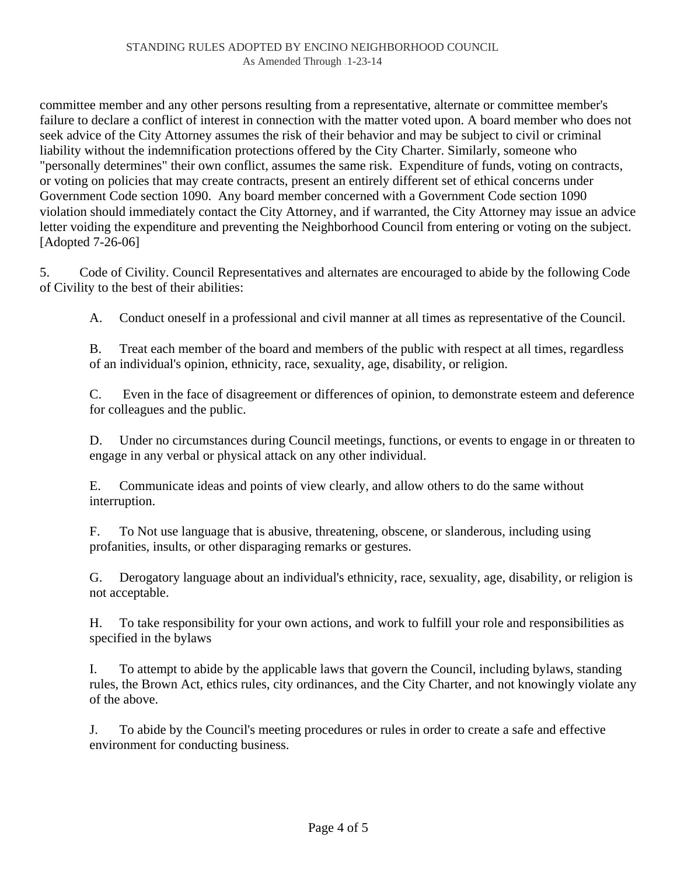committee member and any other persons resulting from a representative, alternate or committee member's failure to declare a conflict of interest in connection with the matter voted upon. A board member who does not seek advice of the City Attorney assumes the risk of their behavior and may be subject to civil or criminal liability without the indemnification protections offered by the City Charter. Similarly, someone who "personally determines" their own conflict, assumes the same risk. Expenditure of funds, voting on contracts, or voting on policies that may create contracts, present an entirely different set of ethical concerns under Government Code section 1090. Any board member concerned with a Government Code section 1090 violation should immediately contact the City Attorney, and if warranted, the City Attorney may issue an advice letter voiding the expenditure and preventing the Neighborhood Council from entering or voting on the subject. [Adopted 7-26-06]

5. Code of Civility. Council Representatives and alternates are encouraged to abide by the following Code of Civility to the best of their abilities:

A. Conduct oneself in a professional and civil manner at all times as representative of the Council.

B. Treat each member of the board and members of the public with respect at all times, regardless of an individual's opinion, ethnicity, race, sexuality, age, disability, or religion.

C. Even in the face of disagreement or differences of opinion, to demonstrate esteem and deference for colleagues and the public.

D. Under no circumstances during Council meetings, functions, or events to engage in or threaten to engage in any verbal or physical attack on any other individual.

E. Communicate ideas and points of view clearly, and allow others to do the same without interruption.

F. To Not use language that is abusive, threatening, obscene, or slanderous, including using profanities, insults, or other disparaging remarks or gestures.

G. Derogatory language about an individual's ethnicity, race, sexuality, age, disability, or religion is not acceptable.

H. To take responsibility for your own actions, and work to fulfill your role and responsibilities as specified in the bylaws

I. To attempt to abide by the applicable laws that govern the Council, including bylaws, standing rules, the Brown Act, ethics rules, city ordinances, and the City Charter, and not knowingly violate any of the above.

J. To abide by the Council's meeting procedures or rules in order to create a safe and effective environment for conducting business.